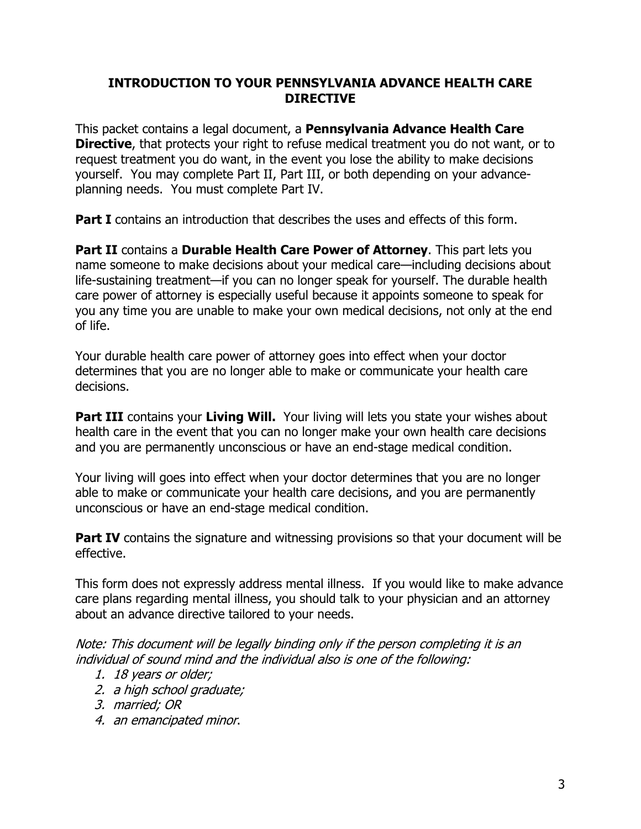## **INTRODUCTION TO YOUR PENNSYLVANIA ADVANCE HEALTH CARE DIRECTIVE**

This packet contains a legal document, a **Pennsylvania Advance Health Care Directive**, that protects your right to refuse medical treatment you do not want, or to request treatment you do want, in the event you lose the ability to make decisions yourself. You may complete Part II, Part III, or both depending on your advanceplanning needs. You must complete Part IV.

**Part I** contains an introduction that describes the uses and effects of this form.

**Part II** contains a **Durable Health Care Power of Attorney**. This part lets you name someone to make decisions about your medical care—including decisions about life-sustaining treatment—if you can no longer speak for yourself. The durable health care power of attorney is especially useful because it appoints someone to speak for you any time you are unable to make your own medical decisions, not only at the end of life.

Your durable health care power of attorney goes into effect when your doctor determines that you are no longer able to make or communicate your health care decisions.

**Part III** contains your **Living Will.** Your living will lets you state your wishes about health care in the event that you can no longer make your own health care decisions and you are permanently unconscious or have an end-stage medical condition.

Your living will goes into effect when your doctor determines that you are no longer able to make or communicate your health care decisions, and you are permanently unconscious or have an end-stage medical condition.

**Part IV** contains the signature and witnessing provisions so that your document will be effective.

This form does not expressly address mental illness. If you would like to make advance care plans regarding mental illness, you should talk to your physician and an attorney about an advance directive tailored to your needs.

Note: This document will be legally binding only if the person completing it is an individual of sound mind and the individual also is one of the following:

- 1. 18 years or older;
- 2. a high school graduate;
- 3. married; OR
- 4. an emancipated minor.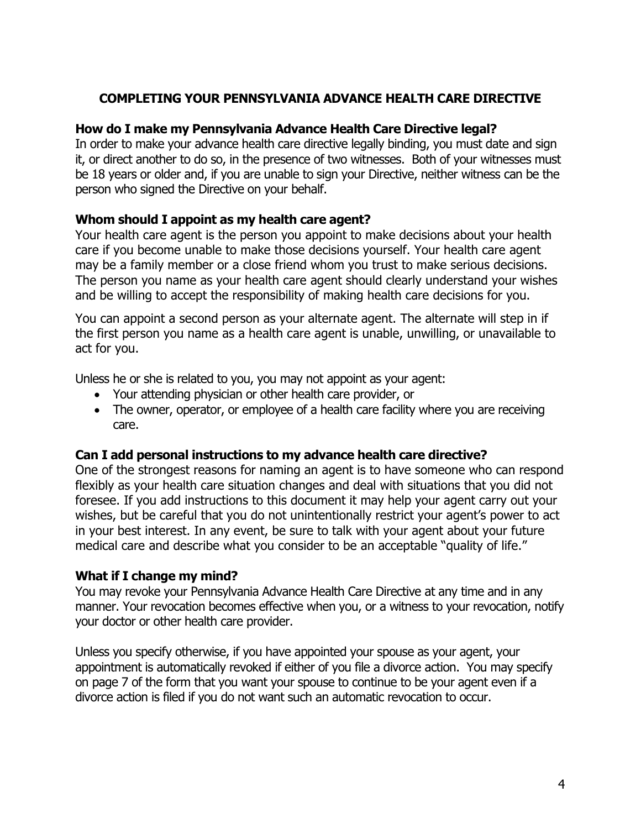# **COMPLETING YOUR PENNSYLVANIA ADVANCE HEALTH CARE DIRECTIVE**

#### **How do I make my Pennsylvania Advance Health Care Directive legal?**

In order to make your advance health care directive legally binding, you must date and sign it, or direct another to do so, in the presence of two witnesses. Both of your witnesses must be 18 years or older and, if you are unable to sign your Directive, neither witness can be the person who signed the Directive on your behalf.

## **Whom should I appoint as my health care agent?**

Your health care agent is the person you appoint to make decisions about your health care if you become unable to make those decisions yourself. Your health care agent may be a family member or a close friend whom you trust to make serious decisions. The person you name as your health care agent should clearly understand your wishes and be willing to accept the responsibility of making health care decisions for you.

You can appoint a second person as your alternate agent. The alternate will step in if the first person you name as a health care agent is unable, unwilling, or unavailable to act for you.

Unless he or she is related to you, you may not appoint as your agent:

- Your attending physician or other health care provider, or
- The owner, operator, or employee of a health care facility where you are receiving care.

#### **Can I add personal instructions to my advance health care directive?**

One of the strongest reasons for naming an agent is to have someone who can respond flexibly as your health care situation changes and deal with situations that you did not foresee. If you add instructions to this document it may help your agent carry out your wishes, but be careful that you do not unintentionally restrict your agent's power to act in your best interest. In any event, be sure to talk with your agent about your future medical care and describe what you consider to be an acceptable "quality of life."

#### **What if I change my mind?**

You may revoke your Pennsylvania Advance Health Care Directive at any time and in any manner. Your revocation becomes effective when you, or a witness to your revocation, notify your doctor or other health care provider.

Unless you specify otherwise, if you have appointed your spouse as your agent, your appointment is automatically revoked if either of you file a divorce action. You may specify on page 7 of the form that you want your spouse to continue to be your agent even if a divorce action is filed if you do not want such an automatic revocation to occur.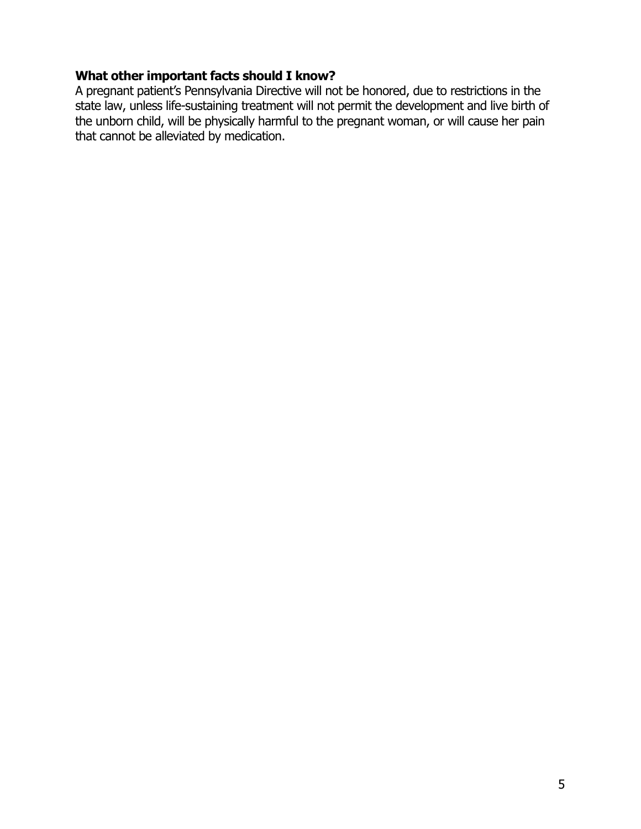# **What other important facts should I know?**

A pregnant patient's Pennsylvania Directive will not be honored, due to restrictions in the state law, unless life-sustaining treatment will not permit the development and live birth of the unborn child, will be physically harmful to the pregnant woman, or will cause her pain that cannot be alleviated by medication.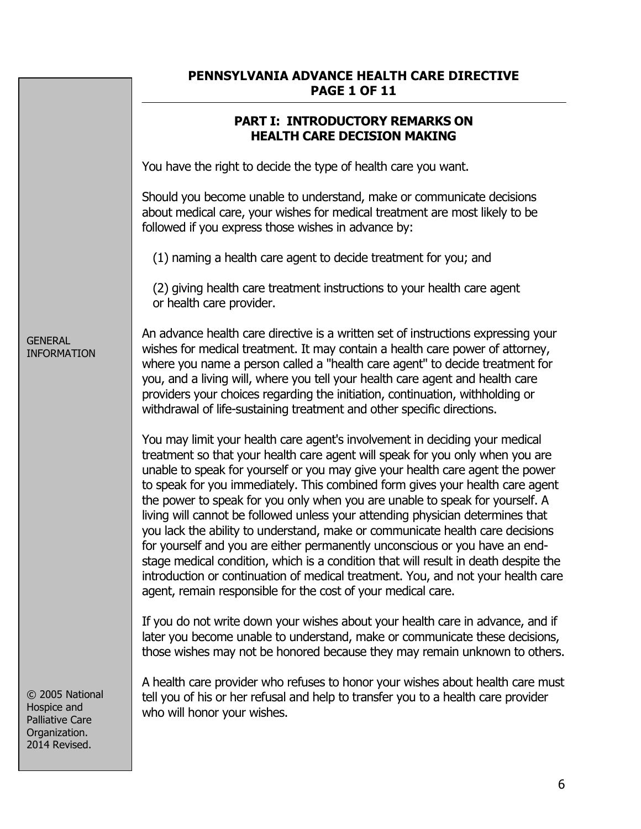# **PENNSYLVANIA ADVANCE HEALTH CARE DIRECTIVE PAGE 1 OF 11**

|                                                                                            | <b>PART I: INTRODUCTORY REMARKS ON</b><br><b>HEALTH CARE DECISION MAKING</b>                                                                                                                                                                                                                                                                                                                                                                                                                                                                                                                                                                                                                                                                                                                                                                                                                                |
|--------------------------------------------------------------------------------------------|-------------------------------------------------------------------------------------------------------------------------------------------------------------------------------------------------------------------------------------------------------------------------------------------------------------------------------------------------------------------------------------------------------------------------------------------------------------------------------------------------------------------------------------------------------------------------------------------------------------------------------------------------------------------------------------------------------------------------------------------------------------------------------------------------------------------------------------------------------------------------------------------------------------|
|                                                                                            | You have the right to decide the type of health care you want.                                                                                                                                                                                                                                                                                                                                                                                                                                                                                                                                                                                                                                                                                                                                                                                                                                              |
|                                                                                            | Should you become unable to understand, make or communicate decisions<br>about medical care, your wishes for medical treatment are most likely to be<br>followed if you express those wishes in advance by:                                                                                                                                                                                                                                                                                                                                                                                                                                                                                                                                                                                                                                                                                                 |
|                                                                                            | (1) naming a health care agent to decide treatment for you; and                                                                                                                                                                                                                                                                                                                                                                                                                                                                                                                                                                                                                                                                                                                                                                                                                                             |
|                                                                                            | (2) giving health care treatment instructions to your health care agent<br>or health care provider.                                                                                                                                                                                                                                                                                                                                                                                                                                                                                                                                                                                                                                                                                                                                                                                                         |
| <b>GENERAL</b><br><b>INFORMATION</b>                                                       | An advance health care directive is a written set of instructions expressing your<br>wishes for medical treatment. It may contain a health care power of attorney,<br>where you name a person called a "health care agent" to decide treatment for<br>you, and a living will, where you tell your health care agent and health care<br>providers your choices regarding the initiation, continuation, withholding or<br>withdrawal of life-sustaining treatment and other specific directions.                                                                                                                                                                                                                                                                                                                                                                                                              |
|                                                                                            | You may limit your health care agent's involvement in deciding your medical<br>treatment so that your health care agent will speak for you only when you are<br>unable to speak for yourself or you may give your health care agent the power<br>to speak for you immediately. This combined form gives your health care agent<br>the power to speak for you only when you are unable to speak for yourself. A<br>living will cannot be followed unless your attending physician determines that<br>you lack the ability to understand, make or communicate health care decisions<br>for yourself and you are either permanently unconscious or you have an end-<br>stage medical condition, which is a condition that will result in death despite the<br>introduction or continuation of medical treatment. You, and not your health care<br>agent, remain responsible for the cost of your medical care. |
|                                                                                            | If you do not write down your wishes about your health care in advance, and if<br>later you become unable to understand, make or communicate these decisions,<br>those wishes may not be honored because they may remain unknown to others.                                                                                                                                                                                                                                                                                                                                                                                                                                                                                                                                                                                                                                                                 |
| © 2005 National<br>Hospice and<br><b>Palliative Care</b><br>Organization.<br>2014 Revised. | A health care provider who refuses to honor your wishes about health care must<br>tell you of his or her refusal and help to transfer you to a health care provider<br>who will honor your wishes.                                                                                                                                                                                                                                                                                                                                                                                                                                                                                                                                                                                                                                                                                                          |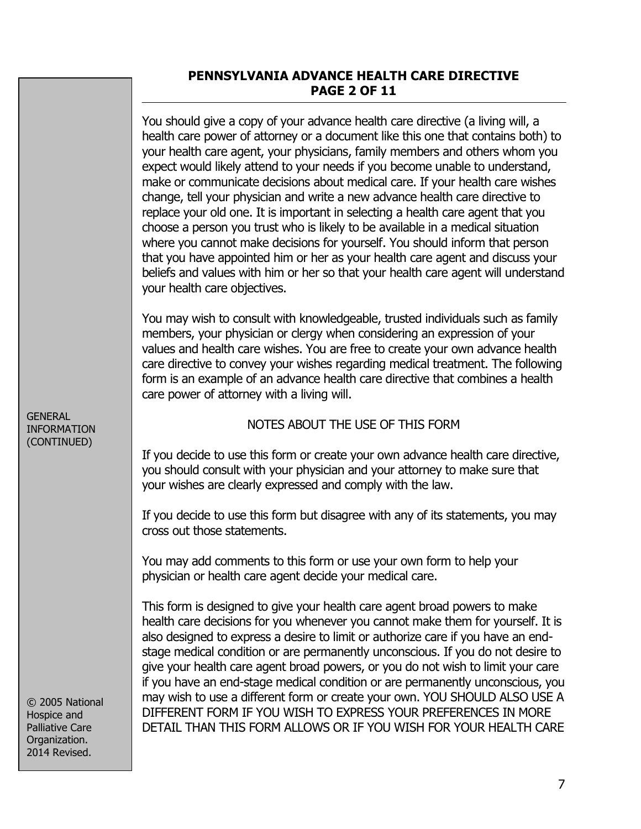### **PENNSYLVANIA ADVANCE HEALTH CARE DIRECTIVE PAGE 2 OF 11**

You should give a copy of your advance health care directive (a living will, a health care power of attorney or a document like this one that contains both) to your health care agent, your physicians, family members and others whom you expect would likely attend to your needs if you become unable to understand, make or communicate decisions about medical care. If your health care wishes change, tell your physician and write a new advance health care directive to replace your old one. It is important in selecting a health care agent that you choose a person you trust who is likely to be available in a medical situation where you cannot make decisions for yourself. You should inform that person that you have appointed him or her as your health care agent and discuss your beliefs and values with him or her so that your health care agent will understand your health care objectives.

You may wish to consult with knowledgeable, trusted individuals such as family members, your physician or clergy when considering an expression of your values and health care wishes. You are free to create your own advance health care directive to convey your wishes regarding medical treatment. The following form is an example of an advance health care directive that combines a health care power of attorney with a living will.

# NOTES ABOUT THE USE OF THIS FORM

If you decide to use this form or create your own advance health care directive, you should consult with your physician and your attorney to make sure that your wishes are clearly expressed and comply with the law.

If you decide to use this form but disagree with any of its statements, you may cross out those statements.

You may add comments to this form or use your own form to help your physician or health care agent decide your medical care.

This form is designed to give your health care agent broad powers to make health care decisions for you whenever you cannot make them for yourself. It is also designed to express a desire to limit or authorize care if you have an endstage medical condition or are permanently unconscious. If you do not desire to give your health care agent broad powers, or you do not wish to limit your care if you have an end-stage medical condition or are permanently unconscious, you may wish to use a different form or create your own. YOU SHOULD ALSO USE A DIFFERENT FORM IF YOU WISH TO EXPRESS YOUR PREFERENCES IN MORE DETAIL THAN THIS FORM ALLOWS OR IF YOU WISH FOR YOUR HEALTH CARE

**GENERAL** INFORMATION (CONTINUED)

© 2005 National Hospice and Palliative Care Organization. 2014 Revised.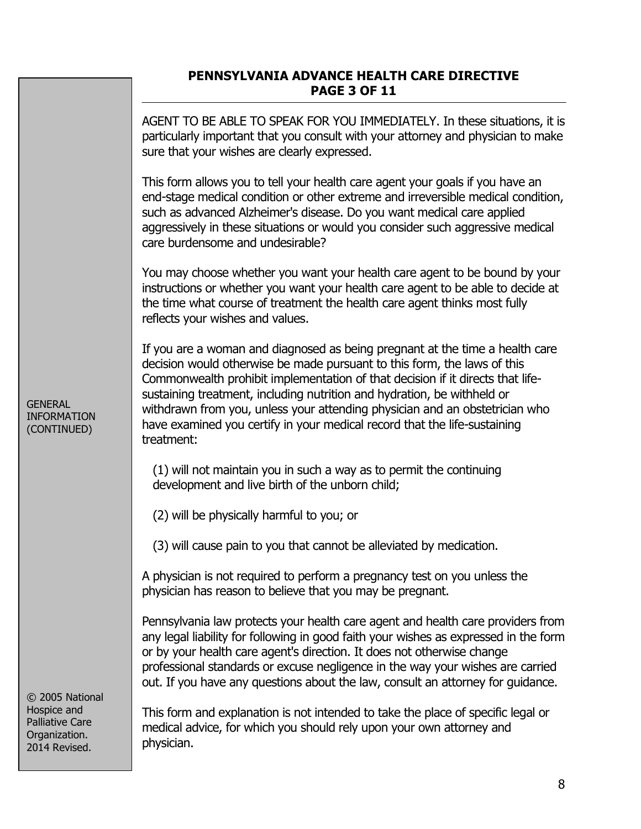#### **PENNSYLVANIA ADVANCE HEALTH CARE DIRECTIVE PAGE 3 OF 11**

AGENT TO BE ABLE TO SPEAK FOR YOU IMMEDIATELY. In these situations, it is particularly important that you consult with your attorney and physician to make sure that your wishes are clearly expressed.

This form allows you to tell your health care agent your goals if you have an end-stage medical condition or other extreme and irreversible medical condition, such as advanced Alzheimer's disease. Do you want medical care applied aggressively in these situations or would you consider such aggressive medical care burdensome and undesirable?

You may choose whether you want your health care agent to be bound by your instructions or whether you want your health care agent to be able to decide at the time what course of treatment the health care agent thinks most fully reflects your wishes and values.

If you are a woman and diagnosed as being pregnant at the time a health care decision would otherwise be made pursuant to this form, the laws of this Commonwealth prohibit implementation of that decision if it directs that lifesustaining treatment, including nutrition and hydration, be withheld or withdrawn from you, unless your attending physician and an obstetrician who have examined you certify in your medical record that the life-sustaining treatment:

 (1) will not maintain you in such a way as to permit the continuing development and live birth of the unborn child;

(2) will be physically harmful to you; or

(3) will cause pain to you that cannot be alleviated by medication.

A physician is not required to perform a pregnancy test on you unless the physician has reason to believe that you may be pregnant.

Pennsylvania law protects your health care agent and health care providers from any legal liability for following in good faith your wishes as expressed in the form or by your health care agent's direction. It does not otherwise change professional standards or excuse negligence in the way your wishes are carried out. If you have any questions about the law, consult an attorney for guidance.

This form and explanation is not intended to take the place of specific legal or medical advice, for which you should rely upon your own attorney and physician.

**GENERAL** INFORMATION (CONTINUED)

© 2005 National Hospice and Palliative Care Organization. 2014 Revised.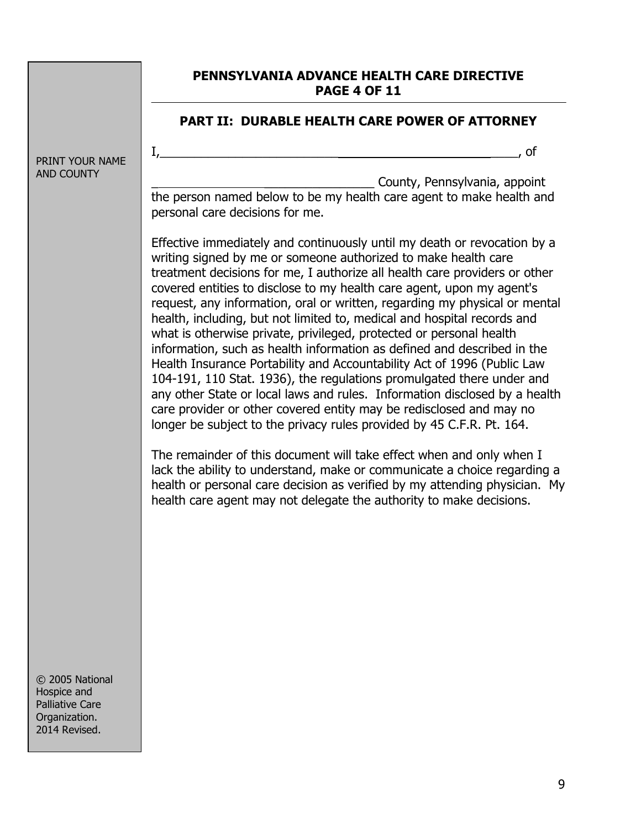|                                                                                            | PENNSYLVANIA ADVANCE HEALTH CARE DIRECTIVE<br><b>PAGE 4 OF 11</b>                                                                                                                                                                                                                                                                                                                                                                                                                                                                                                                                                                                                                                                                                                                                                                                                                                                                                                                              |  |
|--------------------------------------------------------------------------------------------|------------------------------------------------------------------------------------------------------------------------------------------------------------------------------------------------------------------------------------------------------------------------------------------------------------------------------------------------------------------------------------------------------------------------------------------------------------------------------------------------------------------------------------------------------------------------------------------------------------------------------------------------------------------------------------------------------------------------------------------------------------------------------------------------------------------------------------------------------------------------------------------------------------------------------------------------------------------------------------------------|--|
|                                                                                            | PART II: DURABLE HEALTH CARE POWER OF ATTORNEY                                                                                                                                                                                                                                                                                                                                                                                                                                                                                                                                                                                                                                                                                                                                                                                                                                                                                                                                                 |  |
| PRINT YOUR NAME                                                                            | $I_{\iota}$<br>, of                                                                                                                                                                                                                                                                                                                                                                                                                                                                                                                                                                                                                                                                                                                                                                                                                                                                                                                                                                            |  |
| <b>AND COUNTY</b>                                                                          | County, Pennsylvania, appoint<br>the person named below to be my health care agent to make health and<br>personal care decisions for me.                                                                                                                                                                                                                                                                                                                                                                                                                                                                                                                                                                                                                                                                                                                                                                                                                                                       |  |
|                                                                                            | Effective immediately and continuously until my death or revocation by a<br>writing signed by me or someone authorized to make health care<br>treatment decisions for me, I authorize all health care providers or other<br>covered entities to disclose to my health care agent, upon my agent's<br>request, any information, oral or written, regarding my physical or mental<br>health, including, but not limited to, medical and hospital records and<br>what is otherwise private, privileged, protected or personal health<br>information, such as health information as defined and described in the<br>Health Insurance Portability and Accountability Act of 1996 (Public Law<br>104-191, 110 Stat. 1936), the regulations promulgated there under and<br>any other State or local laws and rules. Information disclosed by a health<br>care provider or other covered entity may be redisclosed and may no<br>longer be subject to the privacy rules provided by 45 C.F.R. Pt. 164. |  |
|                                                                                            | The remainder of this document will take effect when and only when I<br>lack the ability to understand, make or communicate a choice regarding a<br>health or personal care decision as verified by my attending physician. My<br>health care agent may not delegate the authority to make decisions.                                                                                                                                                                                                                                                                                                                                                                                                                                                                                                                                                                                                                                                                                          |  |
|                                                                                            |                                                                                                                                                                                                                                                                                                                                                                                                                                                                                                                                                                                                                                                                                                                                                                                                                                                                                                                                                                                                |  |
| © 2005 National<br>Hospice and<br><b>Palliative Care</b><br>Organization.<br>2014 Revised. |                                                                                                                                                                                                                                                                                                                                                                                                                                                                                                                                                                                                                                                                                                                                                                                                                                                                                                                                                                                                |  |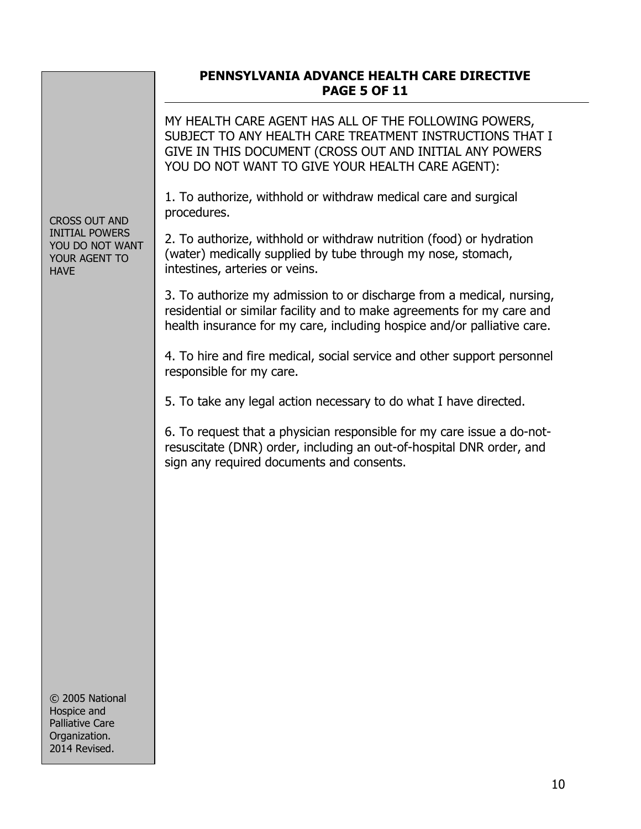## **PENNSYLVANIA ADVANCE HEALTH CARE DIRECTIVE PAGE 5 OF 11**

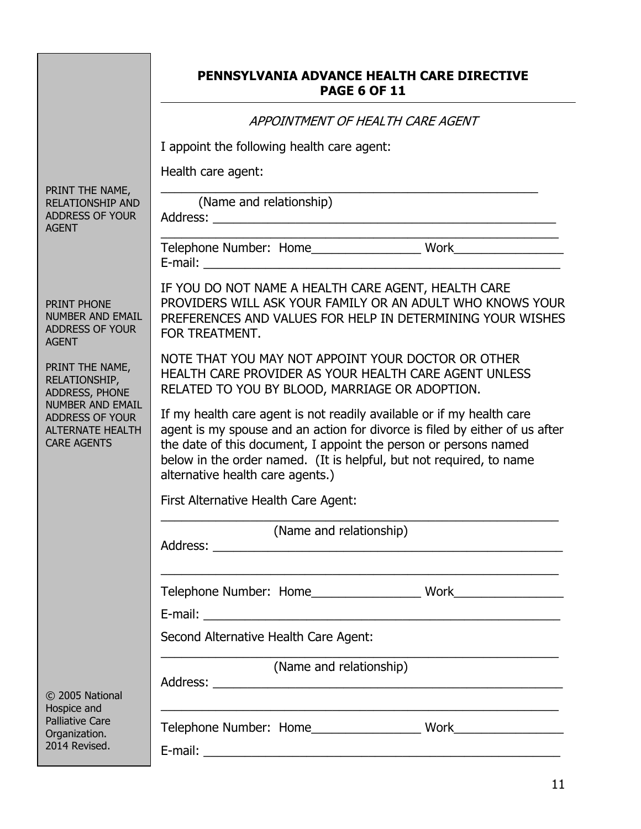|                                                                                                    | <b>PENNSYLVANIA ADVANCE HEALTH CARE DIRECTIVE</b><br><b>PAGE 6 OF 11</b>                                                                                                                                                                                                                                                            |  |  |
|----------------------------------------------------------------------------------------------------|-------------------------------------------------------------------------------------------------------------------------------------------------------------------------------------------------------------------------------------------------------------------------------------------------------------------------------------|--|--|
|                                                                                                    | APPOINTMENT OF HEALTH CARE AGENT                                                                                                                                                                                                                                                                                                    |  |  |
|                                                                                                    | I appoint the following health care agent:                                                                                                                                                                                                                                                                                          |  |  |
|                                                                                                    | Health care agent:                                                                                                                                                                                                                                                                                                                  |  |  |
| PRINT THE NAME,<br><b>RELATIONSHIP AND</b><br><b>ADDRESS OF YOUR</b><br><b>AGENT</b>               | (Name and relationship)                                                                                                                                                                                                                                                                                                             |  |  |
|                                                                                                    | Telephone Number: Home______________________ Work_______________________________                                                                                                                                                                                                                                                    |  |  |
| PRINT PHONE<br><b>NUMBER AND EMAIL</b><br><b>ADDRESS OF YOUR</b><br><b>AGENT</b>                   | IF YOU DO NOT NAME A HEALTH CARE AGENT, HEALTH CARE<br>PROVIDERS WILL ASK YOUR FAMILY OR AN ADULT WHO KNOWS YOUR<br>PREFERENCES AND VALUES FOR HELP IN DETERMINING YOUR WISHES<br>FOR TREATMENT.                                                                                                                                    |  |  |
| PRINT THE NAME,<br>RELATIONSHIP,<br>ADDRESS, PHONE                                                 | NOTE THAT YOU MAY NOT APPOINT YOUR DOCTOR OR OTHER<br>HEALTH CARE PROVIDER AS YOUR HEALTH CARE AGENT UNLESS<br>RELATED TO YOU BY BLOOD, MARRIAGE OR ADOPTION.                                                                                                                                                                       |  |  |
| <b>NUMBER AND EMAIL</b><br><b>ADDRESS OF YOUR</b><br><b>ALTERNATE HEALTH</b><br><b>CARE AGENTS</b> | If my health care agent is not readily available or if my health care<br>agent is my spouse and an action for divorce is filed by either of us after<br>the date of this document, I appoint the person or persons named<br>below in the order named. (It is helpful, but not required, to name<br>alternative health care agents.) |  |  |
|                                                                                                    | First Alternative Health Care Agent:                                                                                                                                                                                                                                                                                                |  |  |
|                                                                                                    | (Name and relationship)                                                                                                                                                                                                                                                                                                             |  |  |
|                                                                                                    |                                                                                                                                                                                                                                                                                                                                     |  |  |
|                                                                                                    | Second Alternative Health Care Agent:                                                                                                                                                                                                                                                                                               |  |  |
| © 2005 National                                                                                    | (Name and relationship)                                                                                                                                                                                                                                                                                                             |  |  |
| Hospice and<br><b>Palliative Care</b><br>Organization.<br>2014 Revised.                            |                                                                                                                                                                                                                                                                                                                                     |  |  |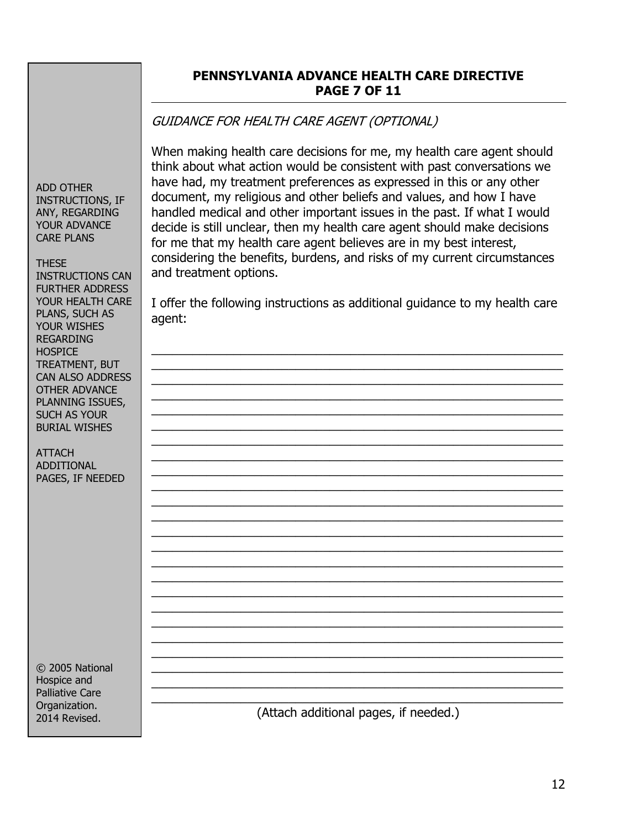## **PENNSYLVANIA ADVANCE HEALTH CARE DIRECTIVE PAGE 7 OF 11**

# GUIDANCE FOR HEALTH CARE AGENT (OPTIONAL)

ADD OTHER INSTRUCTIONS, IF ANY, REGARDING YOUR ADVANCE CARE PLANS

**THESE** INSTRUCTIONS CAN FURTHER ADDRESS YOUR HEALTH CARE PLANS, SUCH AS YOUR WISHES REGARDING **HOSPICE** TREATMENT, BUT CAN ALSO ADDRESS OTHER ADVANCE PLANNING ISSUES, SUCH AS YOUR BURIAL WISHES

ATTACH ADDITIONAL PAGES, IF NEEDED

© 2005 National Hospice and Palliative Care Organization. 2014 Revised.

\_\_\_\_\_\_\_\_\_\_\_\_\_\_\_\_\_\_\_\_\_\_\_\_\_\_\_\_\_\_\_\_\_\_\_\_\_\_\_\_\_\_\_\_\_\_\_\_\_\_\_\_\_\_\_\_\_\_\_\_ (Attach additional pages, if needed.)

When making health care decisions for me, my health care agent should think about what action would be consistent with past conversations we have had, my treatment preferences as expressed in this or any other document, my religious and other beliefs and values, and how I have handled medical and other important issues in the past. If what I would decide is still unclear, then my health care agent should make decisions for me that my health care agent believes are in my best interest, considering the benefits, burdens, and risks of my current circumstances and treatment options.

I offer the following instructions as additional guidance to my health care agent:

\_\_\_\_\_\_\_\_\_\_\_\_\_\_\_\_\_\_\_\_\_\_\_\_\_\_\_\_\_\_\_\_\_\_\_\_\_\_\_\_\_\_\_\_\_\_\_\_\_\_\_\_\_\_\_\_\_\_\_\_ \_\_\_\_\_\_\_\_\_\_\_\_\_\_\_\_\_\_\_\_\_\_\_\_\_\_\_\_\_\_\_\_\_\_\_\_\_\_\_\_\_\_\_\_\_\_\_\_\_\_\_\_\_\_\_\_\_\_\_\_ \_\_\_\_\_\_\_\_\_\_\_\_\_\_\_\_\_\_\_\_\_\_\_\_\_\_\_\_\_\_\_\_\_\_\_\_\_\_\_\_\_\_\_\_\_\_\_\_\_\_\_\_\_\_\_\_\_\_\_\_ \_\_\_\_\_\_\_\_\_\_\_\_\_\_\_\_\_\_\_\_\_\_\_\_\_\_\_\_\_\_\_\_\_\_\_\_\_\_\_\_\_\_\_\_\_\_\_\_\_\_\_\_\_\_\_\_\_\_\_\_ \_\_\_\_\_\_\_\_\_\_\_\_\_\_\_\_\_\_\_\_\_\_\_\_\_\_\_\_\_\_\_\_\_\_\_\_\_\_\_\_\_\_\_\_\_\_\_\_\_\_\_\_\_\_\_\_\_\_\_\_ \_\_\_\_\_\_\_\_\_\_\_\_\_\_\_\_\_\_\_\_\_\_\_\_\_\_\_\_\_\_\_\_\_\_\_\_\_\_\_\_\_\_\_\_\_\_\_\_\_\_\_\_\_\_\_\_\_\_\_\_ \_\_\_\_\_\_\_\_\_\_\_\_\_\_\_\_\_\_\_\_\_\_\_\_\_\_\_\_\_\_\_\_\_\_\_\_\_\_\_\_\_\_\_\_\_\_\_\_\_\_\_\_\_\_\_\_\_\_\_\_ \_\_\_\_\_\_\_\_\_\_\_\_\_\_\_\_\_\_\_\_\_\_\_\_\_\_\_\_\_\_\_\_\_\_\_\_\_\_\_\_\_\_\_\_\_\_\_\_\_\_\_\_\_\_\_\_\_\_\_\_ \_\_\_\_\_\_\_\_\_\_\_\_\_\_\_\_\_\_\_\_\_\_\_\_\_\_\_\_\_\_\_\_\_\_\_\_\_\_\_\_\_\_\_\_\_\_\_\_\_\_\_\_\_\_\_\_\_\_\_\_ \_\_\_\_\_\_\_\_\_\_\_\_\_\_\_\_\_\_\_\_\_\_\_\_\_\_\_\_\_\_\_\_\_\_\_\_\_\_\_\_\_\_\_\_\_\_\_\_\_\_\_\_\_\_\_\_\_\_\_\_ \_\_\_\_\_\_\_\_\_\_\_\_\_\_\_\_\_\_\_\_\_\_\_\_\_\_\_\_\_\_\_\_\_\_\_\_\_\_\_\_\_\_\_\_\_\_\_\_\_\_\_\_\_\_\_\_\_\_\_\_ \_\_\_\_\_\_\_\_\_\_\_\_\_\_\_\_\_\_\_\_\_\_\_\_\_\_\_\_\_\_\_\_\_\_\_\_\_\_\_\_\_\_\_\_\_\_\_\_\_\_\_\_\_\_\_\_\_\_\_\_ \_\_\_\_\_\_\_\_\_\_\_\_\_\_\_\_\_\_\_\_\_\_\_\_\_\_\_\_\_\_\_\_\_\_\_\_\_\_\_\_\_\_\_\_\_\_\_\_\_\_\_\_\_\_\_\_\_\_\_\_ \_\_\_\_\_\_\_\_\_\_\_\_\_\_\_\_\_\_\_\_\_\_\_\_\_\_\_\_\_\_\_\_\_\_\_\_\_\_\_\_\_\_\_\_\_\_\_\_\_\_\_\_\_\_\_\_\_\_\_\_ \_\_\_\_\_\_\_\_\_\_\_\_\_\_\_\_\_\_\_\_\_\_\_\_\_\_\_\_\_\_\_\_\_\_\_\_\_\_\_\_\_\_\_\_\_\_\_\_\_\_\_\_\_\_\_\_\_\_\_\_ \_\_\_\_\_\_\_\_\_\_\_\_\_\_\_\_\_\_\_\_\_\_\_\_\_\_\_\_\_\_\_\_\_\_\_\_\_\_\_\_\_\_\_\_\_\_\_\_\_\_\_\_\_\_\_\_\_\_\_\_ \_\_\_\_\_\_\_\_\_\_\_\_\_\_\_\_\_\_\_\_\_\_\_\_\_\_\_\_\_\_\_\_\_\_\_\_\_\_\_\_\_\_\_\_\_\_\_\_\_\_\_\_\_\_\_\_\_\_\_\_ \_\_\_\_\_\_\_\_\_\_\_\_\_\_\_\_\_\_\_\_\_\_\_\_\_\_\_\_\_\_\_\_\_\_\_\_\_\_\_\_\_\_\_\_\_\_\_\_\_\_\_\_\_\_\_\_\_\_\_\_ \_\_\_\_\_\_\_\_\_\_\_\_\_\_\_\_\_\_\_\_\_\_\_\_\_\_\_\_\_\_\_\_\_\_\_\_\_\_\_\_\_\_\_\_\_\_\_\_\_\_\_\_\_\_\_\_\_\_\_\_ \_\_\_\_\_\_\_\_\_\_\_\_\_\_\_\_\_\_\_\_\_\_\_\_\_\_\_\_\_\_\_\_\_\_\_\_\_\_\_\_\_\_\_\_\_\_\_\_\_\_\_\_\_\_\_\_\_\_\_\_ \_\_\_\_\_\_\_\_\_\_\_\_\_\_\_\_\_\_\_\_\_\_\_\_\_\_\_\_\_\_\_\_\_\_\_\_\_\_\_\_\_\_\_\_\_\_\_\_\_\_\_\_\_\_\_\_\_\_\_\_ \_\_\_\_\_\_\_\_\_\_\_\_\_\_\_\_\_\_\_\_\_\_\_\_\_\_\_\_\_\_\_\_\_\_\_\_\_\_\_\_\_\_\_\_\_\_\_\_\_\_\_\_\_\_\_\_\_\_\_\_ \_\_\_\_\_\_\_\_\_\_\_\_\_\_\_\_\_\_\_\_\_\_\_\_\_\_\_\_\_\_\_\_\_\_\_\_\_\_\_\_\_\_\_\_\_\_\_\_\_\_\_\_\_\_\_\_\_\_\_\_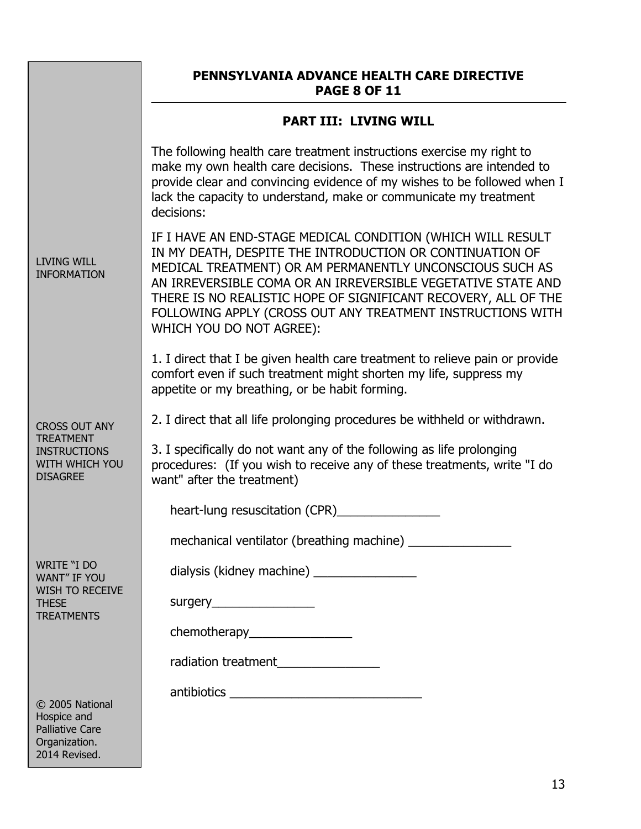|                                                                           | PENNSYLVANIA ADVANCE HEALTH CARE DIRECTIVE<br><b>PAGE 8 OF 11</b>                                                                                                                                                                                                                                                                                                                                               |  |
|---------------------------------------------------------------------------|-----------------------------------------------------------------------------------------------------------------------------------------------------------------------------------------------------------------------------------------------------------------------------------------------------------------------------------------------------------------------------------------------------------------|--|
|                                                                           | <b>PART III: LIVING WILL</b>                                                                                                                                                                                                                                                                                                                                                                                    |  |
|                                                                           | The following health care treatment instructions exercise my right to<br>make my own health care decisions. These instructions are intended to<br>provide clear and convincing evidence of my wishes to be followed when I<br>lack the capacity to understand, make or communicate my treatment<br>decisions:                                                                                                   |  |
| <b>LIVING WILL</b><br><b>INFORMATION</b>                                  | IF I HAVE AN END-STAGE MEDICAL CONDITION (WHICH WILL RESULT<br>IN MY DEATH, DESPITE THE INTRODUCTION OR CONTINUATION OF<br>MEDICAL TREATMENT) OR AM PERMANENTLY UNCONSCIOUS SUCH AS<br>AN IRREVERSIBLE COMA OR AN IRREVERSIBLE VEGETATIVE STATE AND<br>THERE IS NO REALISTIC HOPE OF SIGNIFICANT RECOVERY, ALL OF THE<br>FOLLOWING APPLY (CROSS OUT ANY TREATMENT INSTRUCTIONS WITH<br>WHICH YOU DO NOT AGREE): |  |
|                                                                           | 1. I direct that I be given health care treatment to relieve pain or provide<br>comfort even if such treatment might shorten my life, suppress my<br>appetite or my breathing, or be habit forming.                                                                                                                                                                                                             |  |
| <b>CROSS OUT ANY</b>                                                      | 2. I direct that all life prolonging procedures be withheld or withdrawn.                                                                                                                                                                                                                                                                                                                                       |  |
| TREATMENT<br>INSTRUCTIONS<br>With Which You<br><b>DISAGREE</b>            | 3. I specifically do not want any of the following as life prolonging<br>procedures: (If you wish to receive any of these treatments, write "I do<br>want" after the treatment)                                                                                                                                                                                                                                 |  |
|                                                                           | heart-lung resuscitation (CPR)                                                                                                                                                                                                                                                                                                                                                                                  |  |
|                                                                           |                                                                                                                                                                                                                                                                                                                                                                                                                 |  |
| <b>WRITE "I DO</b><br><b>WANT" IF YOU</b>                                 | dialysis (kidney machine) ________________                                                                                                                                                                                                                                                                                                                                                                      |  |
| <b>WISH TO RECEIVE</b><br><b>THESE</b>                                    | surgery____________________                                                                                                                                                                                                                                                                                                                                                                                     |  |
| <b>TREATMENTS</b>                                                         | chemotherapy_________________                                                                                                                                                                                                                                                                                                                                                                                   |  |
|                                                                           | radiation treatment_________________                                                                                                                                                                                                                                                                                                                                                                            |  |
| © 2005 National<br>Hospice and<br><b>Palliative Care</b><br>Organization. |                                                                                                                                                                                                                                                                                                                                                                                                                 |  |

2014 Revised.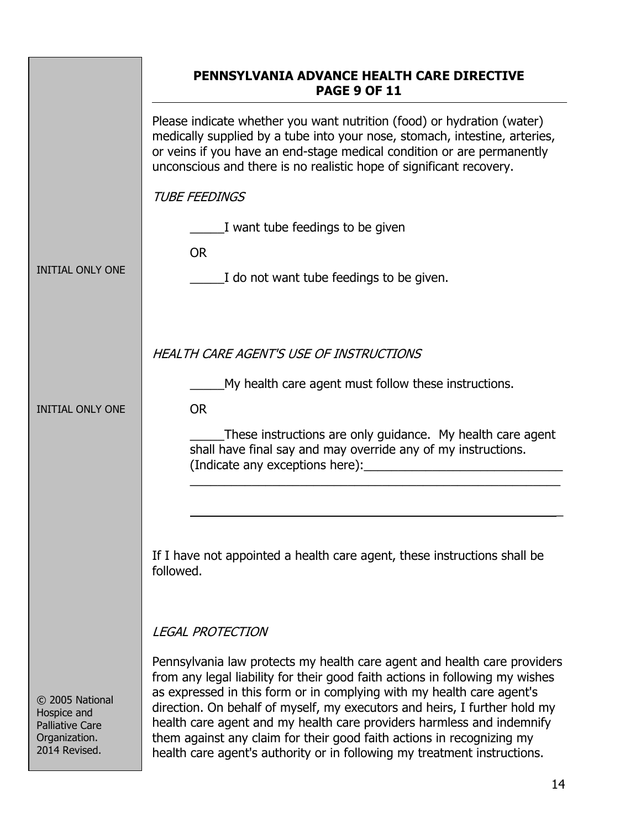|                                                                                            | <b>PENNSYLVANIA ADVANCE HEALTH CARE DIRECTIVE</b><br><b>PAGE 9 OF 11</b>                                                                                                                                                                                                                                                                                                                                                                                                                                                                     |  |
|--------------------------------------------------------------------------------------------|----------------------------------------------------------------------------------------------------------------------------------------------------------------------------------------------------------------------------------------------------------------------------------------------------------------------------------------------------------------------------------------------------------------------------------------------------------------------------------------------------------------------------------------------|--|
|                                                                                            | Please indicate whether you want nutrition (food) or hydration (water)<br>medically supplied by a tube into your nose, stomach, intestine, arteries,<br>or veins if you have an end-stage medical condition or are permanently<br>unconscious and there is no realistic hope of significant recovery.                                                                                                                                                                                                                                        |  |
|                                                                                            | <b>TUBE FEEDINGS</b>                                                                                                                                                                                                                                                                                                                                                                                                                                                                                                                         |  |
|                                                                                            | I want tube feedings to be given<br><b>OR</b>                                                                                                                                                                                                                                                                                                                                                                                                                                                                                                |  |
| <b>INITIAL ONLY ONE</b>                                                                    | I do not want tube feedings to be given.                                                                                                                                                                                                                                                                                                                                                                                                                                                                                                     |  |
|                                                                                            | <b>HEALTH CARE AGENT'S USE OF INSTRUCTIONS</b>                                                                                                                                                                                                                                                                                                                                                                                                                                                                                               |  |
| <b>INITIAL ONLY ONE</b>                                                                    | My health care agent must follow these instructions.<br><b>OR</b>                                                                                                                                                                                                                                                                                                                                                                                                                                                                            |  |
|                                                                                            | These instructions are only guidance. My health care agent<br>shall have final say and may override any of my instructions.<br>(Indicate any exceptions here):                                                                                                                                                                                                                                                                                                                                                                               |  |
|                                                                                            |                                                                                                                                                                                                                                                                                                                                                                                                                                                                                                                                              |  |
|                                                                                            | If I have not appointed a health care agent, these instructions shall be<br>followed.                                                                                                                                                                                                                                                                                                                                                                                                                                                        |  |
|                                                                                            | <b>LEGAL PROTECTION</b>                                                                                                                                                                                                                                                                                                                                                                                                                                                                                                                      |  |
| © 2005 National<br>Hospice and<br><b>Palliative Care</b><br>Organization.<br>2014 Revised. | Pennsylvania law protects my health care agent and health care providers<br>from any legal liability for their good faith actions in following my wishes<br>as expressed in this form or in complying with my health care agent's<br>direction. On behalf of myself, my executors and heirs, I further hold my<br>health care agent and my health care providers harmless and indemnify<br>them against any claim for their good faith actions in recognizing my<br>health care agent's authority or in following my treatment instructions. |  |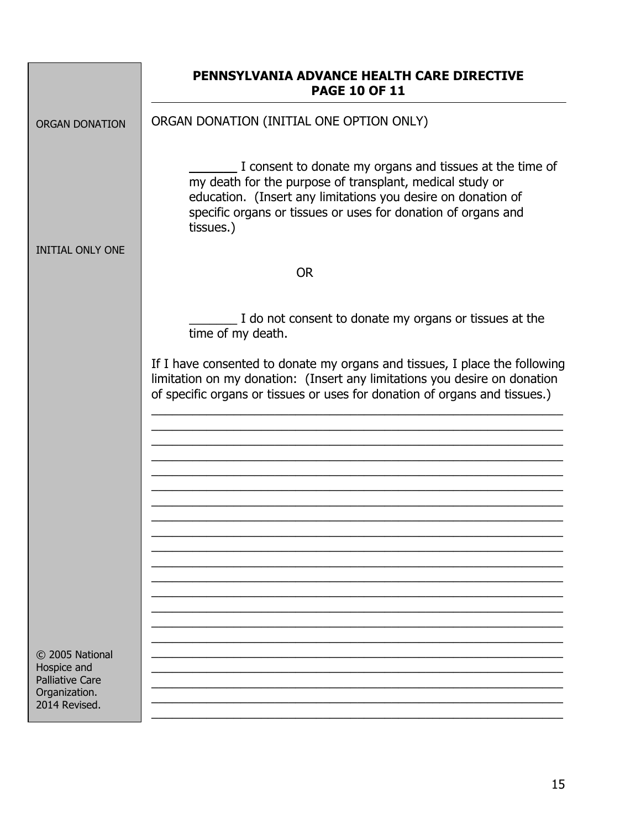|                                                                           | PENNSYLVANIA ADVANCE HEALTH CARE DIRECTIVE<br><b>PAGE 10 OF 11</b>                                                                                                                                                                                                 |
|---------------------------------------------------------------------------|--------------------------------------------------------------------------------------------------------------------------------------------------------------------------------------------------------------------------------------------------------------------|
| <b>ORGAN DONATION</b>                                                     | ORGAN DONATION (INITIAL ONE OPTION ONLY)                                                                                                                                                                                                                           |
|                                                                           | I consent to donate my organs and tissues at the time of<br>my death for the purpose of transplant, medical study or<br>education. (Insert any limitations you desire on donation of<br>specific organs or tissues or uses for donation of organs and<br>tissues.) |
| <b>INITIAL ONLY ONE</b>                                                   |                                                                                                                                                                                                                                                                    |
|                                                                           | <b>OR</b>                                                                                                                                                                                                                                                          |
|                                                                           | I do not consent to donate my organs or tissues at the<br>time of my death.                                                                                                                                                                                        |
|                                                                           | If I have consented to donate my organs and tissues, I place the following<br>limitation on my donation: (Insert any limitations you desire on donation<br>of specific organs or tissues or uses for donation of organs and tissues.)                              |
|                                                                           |                                                                                                                                                                                                                                                                    |
|                                                                           |                                                                                                                                                                                                                                                                    |
|                                                                           |                                                                                                                                                                                                                                                                    |
|                                                                           |                                                                                                                                                                                                                                                                    |
|                                                                           |                                                                                                                                                                                                                                                                    |
|                                                                           |                                                                                                                                                                                                                                                                    |
|                                                                           |                                                                                                                                                                                                                                                                    |
|                                                                           |                                                                                                                                                                                                                                                                    |
| C 2005 National<br>Hospice and<br><b>Palliative Care</b><br>Organization. |                                                                                                                                                                                                                                                                    |
| 2014 Revised.                                                             |                                                                                                                                                                                                                                                                    |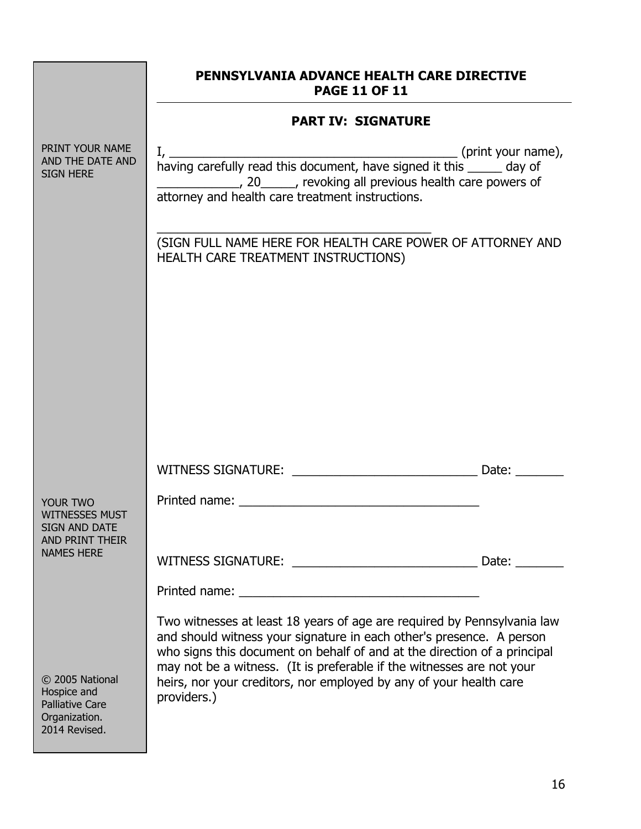|                                                                                            | <b>PENNSYLVANIA ADVANCE HEALTH CARE DIRECTIVE</b><br><b>PAGE 11 OF 11</b>                                                                                                                                                                                                                                                                                                                 |       |  |  |
|--------------------------------------------------------------------------------------------|-------------------------------------------------------------------------------------------------------------------------------------------------------------------------------------------------------------------------------------------------------------------------------------------------------------------------------------------------------------------------------------------|-------|--|--|
|                                                                                            | <b>PART IV: SIGNATURE</b>                                                                                                                                                                                                                                                                                                                                                                 |       |  |  |
| PRINT YOUR NAME<br>AND THE DATE AND<br><b>SIGN HERE</b>                                    | attorney and health care treatment instructions.                                                                                                                                                                                                                                                                                                                                          |       |  |  |
|                                                                                            | (SIGN FULL NAME HERE FOR HEALTH CARE POWER OF ATTORNEY AND<br>HEALTH CARE TREATMENT INSTRUCTIONS)                                                                                                                                                                                                                                                                                         |       |  |  |
|                                                                                            |                                                                                                                                                                                                                                                                                                                                                                                           |       |  |  |
|                                                                                            |                                                                                                                                                                                                                                                                                                                                                                                           |       |  |  |
|                                                                                            | WITNESS SIGNATURE: University of the MITNESS SIGNATURE:                                                                                                                                                                                                                                                                                                                                   | Date: |  |  |
| Your Two<br>WITNESSES MUST<br>SIGN AND DATE<br>AND PRINT THEIR<br><b>NAMES HERE</b>        | Printed name: The contract of the contract of the contract of the contract of the contract of the contract of the contract of the contract of the contract of the contract of the contract of the contract of the contract of                                                                                                                                                             |       |  |  |
|                                                                                            |                                                                                                                                                                                                                                                                                                                                                                                           |       |  |  |
|                                                                                            |                                                                                                                                                                                                                                                                                                                                                                                           |       |  |  |
| © 2005 National<br>Hospice and<br><b>Palliative Care</b><br>Organization.<br>2014 Revised. | Two witnesses at least 18 years of age are required by Pennsylvania law<br>and should witness your signature in each other's presence. A person<br>who signs this document on behalf of and at the direction of a principal<br>may not be a witness. (It is preferable if the witnesses are not your<br>heirs, nor your creditors, nor employed by any of your health care<br>providers.) |       |  |  |